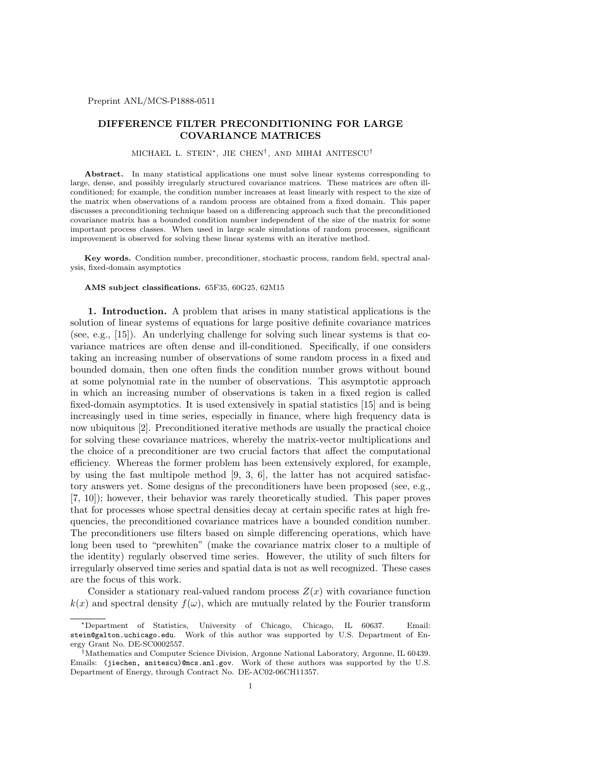## **DIFFERENCE FILTER PRECONDITIONING FOR LARGE COVARIANCE MATRICES**

## MICHAEL L. STEIN*∗*, JIE CHEN*†* , AND MIHAI ANITESCU*†*

Abstract. In many statistical applications one must solve linear systems corresponding to large, dense, and possibly irregularly structured covariance matrices. These matrices are often illconditioned; for example, the condition number increases at least linearly with respect to the size of the matrix when observations of a random process are obtained from a fixed domain. This paper discusses a preconditioning technique based on a differencing approach such that the preconditioned covariance matrix has a bounded condition number independent of the size of the matrix for some important process classes. When used in large scale simulations of random processes, significant improvement is observed for solving these linear systems with an iterative method.

**Key words.** Condition number, preconditioner, stochastic process, random field, spectral analysis, fixed-domain asymptotics

## **AMS subject classifications.** 65F35, 60G25, 62M15

**1. Introduction.** A problem that arises in many statistical applications is the solution of linear systems of equations for large positive definite covariance matrices (see, e.g., [15]). An underlying challenge for solving such linear systems is that covariance matrices are often dense and ill-conditioned. Specifically, if one considers taking an increasing number of observations of some random process in a fixed and bounded domain, then one often finds the condition number grows without bound at some polynomial rate in the number of observations. This asymptotic approach in which an increasing number of observations is taken in a fixed region is called fixed-domain asymptotics. It is used extensively in spatial statistics [15] and is being increasingly used in time series, especially in finance, where high frequency data is now ubiquitous [2]. Preconditioned iterative methods are usually the practical choice for solving these covariance matrices, whereby the matrix-vector multiplications and the choice of a preconditioner are two crucial factors that affect the computational efficiency. Whereas the former problem has been extensively explored, for example, by using the fast multipole method  $[9, 3, 6]$ , the latter has not acquired satisfactory answers yet. Some designs of the preconditioners have been proposed (see, e.g., [7, 10]); however, their behavior was rarely theoretically studied. This paper proves that for processes whose spectral densities decay at certain specific rates at high frequencies, the preconditioned covariance matrices have a bounded condition number. The preconditioners use filters based on simple differencing operations, which have long been used to "prewhiten" (make the covariance matrix closer to a multiple of the identity) regularly observed time series. However, the utility of such filters for irregularly observed time series and spatial data is not as well recognized. These cases are the focus of this work.

Consider a stationary real-valued random process  $Z(x)$  with covariance function  $k(x)$  and spectral density  $f(\omega)$ , which are mutually related by the Fourier transform

*<sup>∗</sup>*Department of Statistics, University of Chicago, Chicago, IL 60637. Email: stein@galton.uchicago.edu. Work of this author was supported by U.S. Department of Energy Grant No. DE-SC0002557.

*<sup>†</sup>*Mathematics and Computer Science Division, Argonne National Laboratory, Argonne, IL 60439. Emails: (jiechen, anitescu)@mcs.anl.gov. Work of these authors was supported by the U.S. Department of Energy, through Contract No. DE-AC02-06CH11357.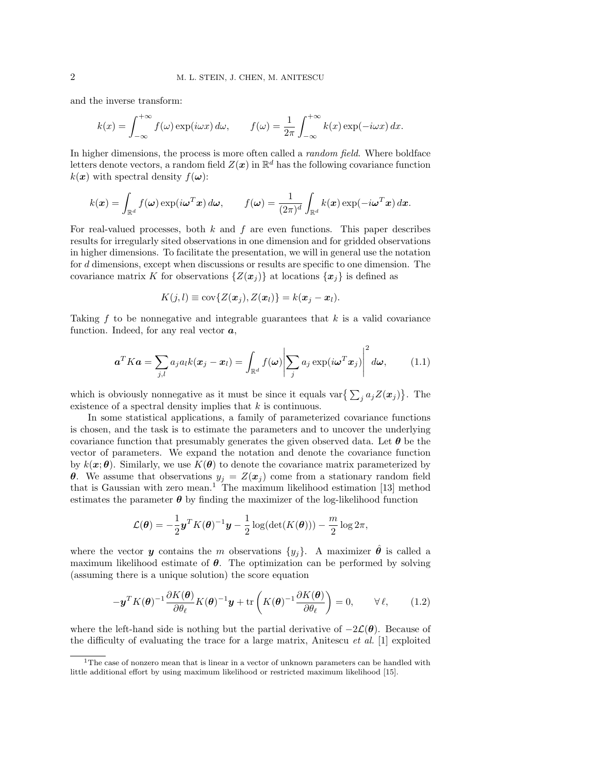and the inverse transform:

$$
k(x) = \int_{-\infty}^{+\infty} f(\omega) \exp(i\omega x) d\omega, \qquad f(\omega) = \frac{1}{2\pi} \int_{-\infty}^{+\infty} k(x) \exp(-i\omega x) dx.
$$

In higher dimensions, the process is more often called a *random field*. Where boldface letters denote vectors, a random field  $Z(\boldsymbol{x})$  in  $\mathbb{R}^d$  has the following covariance function  $k(x)$  with spectral density  $f(\omega)$ :

$$
k(\boldsymbol{x}) = \int_{\mathbb{R}^d} f(\boldsymbol{\omega}) \exp(i \boldsymbol{\omega}^T \boldsymbol{x}) d\boldsymbol{\omega}, \qquad f(\boldsymbol{\omega}) = \frac{1}{(2\pi)^d} \int_{\mathbb{R}^d} k(\boldsymbol{x}) \exp(-i \boldsymbol{\omega}^T \boldsymbol{x}) d\boldsymbol{x}.
$$

For real-valued processes, both *k* and *f* are even functions. This paper describes results for irregularly sited observations in one dimension and for gridded observations in higher dimensions. To facilitate the presentation, we will in general use the notation for *d* dimensions, except when discussions or results are specific to one dimension. The covariance matrix *K* for observations  $\{Z(\boldsymbol{x}_i)\}\$ at locations  $\{\boldsymbol{x}_i\}\$ is defined as

$$
K(j, l) \equiv \text{cov}\{Z(\boldsymbol{x}_j), Z(\boldsymbol{x}_l)\} = k(\boldsymbol{x}_j - \boldsymbol{x}_l).
$$

Taking *f* to be nonnegative and integrable guarantees that *k* is a valid covariance function. Indeed, for any real vector *a*,

$$
\boldsymbol{a}^T K \boldsymbol{a} = \sum_{j,l} a_j a_l k(\boldsymbol{x}_j - \boldsymbol{x}_l) = \int_{\mathbb{R}^d} f(\boldsymbol{\omega}) \Big| \sum_j a_j \exp(i \boldsymbol{\omega}^T \boldsymbol{x}_j) \Big|^2 d\boldsymbol{\omega}, \qquad (1.1)
$$

which is obviously nonnegative as it must be since it equals var $\left\{ \sum_j a_j Z(\boldsymbol{x}_j) \right\}$ . The existence of a spectral density implies that *k* is continuous.

In some statistical applications, a family of parameterized covariance functions is chosen, and the task is to estimate the parameters and to uncover the underlying covariance function that presumably generates the given observed data. Let *θ* be the vector of parameters. We expand the notation and denote the covariance function by  $k(\mathbf{x}; \theta)$ . Similarly, we use  $K(\theta)$  to denote the covariance matrix parameterized by *θ*. We assume that observations  $y_j = Z(x_j)$  come from a stationary random field that is Gaussian with zero mean.<sup>1</sup> The maximum likelihood estimation  $[13]$  method estimates the parameter  $\theta$  by finding the maximizer of the log-likelihood function

$$
\mathcal{L}(\boldsymbol{\theta}) = -\frac{1}{2}\mathbf{y}^T K(\boldsymbol{\theta})^{-1}\mathbf{y} - \frac{1}{2}\log(\det(K(\boldsymbol{\theta}))) - \frac{m}{2}\log 2\pi,
$$

where the vector *y* contains the *m* observations  $\{y_j\}$ . A maximizer  $\hat{\theta}$  is called a maximum likelihood estimate of  $\theta$ . The optimization can be performed by solving (assuming there is a unique solution) the score equation

$$
-\mathbf{y}^T K(\boldsymbol{\theta})^{-1} \frac{\partial K(\boldsymbol{\theta})}{\partial \theta_\ell} K(\boldsymbol{\theta})^{-1} \mathbf{y} + \text{tr}\left(K(\boldsymbol{\theta})^{-1} \frac{\partial K(\boldsymbol{\theta})}{\partial \theta_\ell}\right) = 0, \qquad \forall \ell, \qquad (1.2)
$$

where the left-hand side is nothing but the partial derivative of *−*2*L*(*θ*). Because of the difficulty of evaluating the trace for a large matrix, Anitescu *et al.* [1] exploited

<sup>&</sup>lt;sup>1</sup>The case of nonzero mean that is linear in a vector of unknown parameters can be handled with little additional effort by using maximum likelihood or restricted maximum likelihood [15].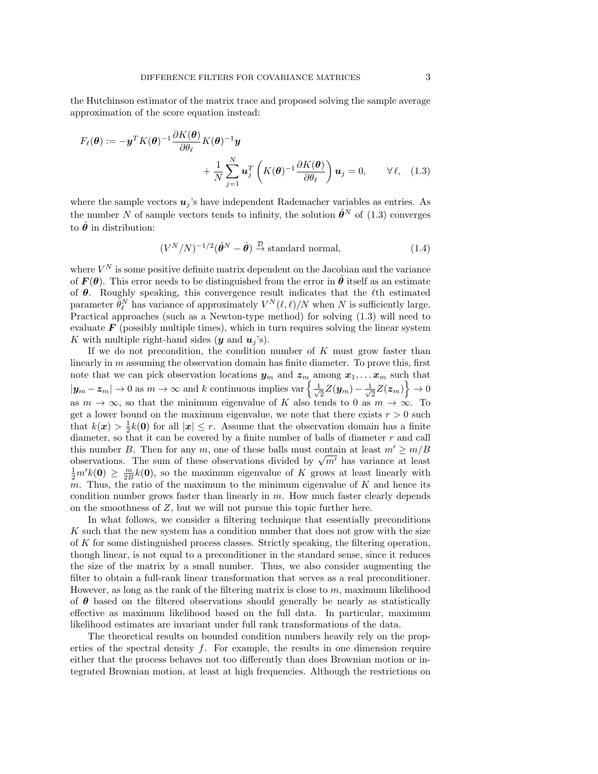the Hutchinson estimator of the matrix trace and proposed solving the sample average approximation of the score equation instead:

$$
F_{\ell}(\boldsymbol{\theta}) := -\mathbf{y}^{T} K(\boldsymbol{\theta})^{-1} \frac{\partial K(\boldsymbol{\theta})}{\partial \theta_{\ell}} K(\boldsymbol{\theta})^{-1} \mathbf{y} + \frac{1}{N} \sum_{j=1}^{N} \mathbf{u}_{j}^{T} \left( K(\boldsymbol{\theta})^{-1} \frac{\partial K(\boldsymbol{\theta})}{\partial \theta_{\ell}} \right) \mathbf{u}_{j} = 0, \qquad \forall \ell, \quad (1.3)
$$

where the sample vectors  $u_j$ 's have independent Rademacher variables as entries. As the number *N* of sample vectors tends to infinity, the solution  $\hat{\theta}^N$  of (1.3) converges to  $\hat{\theta}$  in distribution:

$$
(V^N/N)^{-1/2}(\hat{\theta}^N - \hat{\theta}) \stackrel{\mathcal{D}}{\rightarrow} \text{standard normal}, \qquad (1.4)
$$

where  $V^N$  is some positive definite matrix dependent on the Jacobian and the variance of  $F(\theta)$ . This error needs to be distinguished from the error in  $\hat{\theta}$  itself as an estimate of  $\theta$ . Roughly speaking, this convergence result indicates that the  $\ell$ <sup>th</sup> estimated parameter  $\tilde{\theta}_{\ell}^{N}$  has variance of approximately  $V^{N}(\ell,\ell)/N$  when *N* is sufficiently large. Practical approaches (such as a Newton-type method) for solving (1.3) will need to evaluate  $F$  (possibly multiple times), which in turn requires solving the linear system K with multiple right-hand sides  $(y \text{ and } u_j)$ .

If we do not precondition, the condition number of *K* must grow faster than linearly in *m* assuming the observation domain has finite diameter. To prove this, first note that we can pick observation locations  $y_m$  and  $z_m$  among  $x_1, \ldots, x_m$  such that  $|\mathbf{y}_m - \mathbf{z}_m|$  → 0 as  $m \to \infty$  and *k* continuous implies var $\left\{\frac{1}{\sqrt{n}}\right\}$ 2 *Z*(*ym*) *− <sup>√</sup>* 1  $\frac{1}{2}Z(\boldsymbol{z}_m)\bigg\} \to 0$ as  $m \to \infty$ , so that the minimum eigenvalue of *K* also tends to 0 as  $m \to \infty$ . To get a lower bound on the maximum eigenvalue, we note that there exists  $r > 0$  such that  $k(x) > \frac{1}{2}k(0)$  for all  $|x| \leq r$ . Assume that the observation domain has a finite diameter, so that it can be covered by a finite number of balls of diameter *r* and call this number *B*. Then for any *m*, one of these balls must contain at least  $m' \ge m/B$ this number *B*. Then for any *m*, one of these balls must contain at least  $m \ge m/B$ <br>observations. The sum of these observations divided by  $\sqrt{m'}$  has variance at least  $\frac{1}{2}m'k(0) \geq \frac{m}{2B}k(0)$ , so the maximum eigenvalue of *K* grows at least linearly with *m*. Thus, the ratio of the maximum to the minimum eigenvalue of *K* and hence its condition number grows faster than linearly in *m*. How much faster clearly depends on the smoothness of *Z*, but we will not pursue this topic further here.

In what follows, we consider a filtering technique that essentially preconditions *K* such that the new system has a condition number that does not grow with the size of *K* for some distinguished process classes. Strictly speaking, the filtering operation, though linear, is not equal to a preconditioner in the standard sense, since it reduces the size of the matrix by a small number. Thus, we also consider augmenting the filter to obtain a full-rank linear transformation that serves as a real preconditioner. However, as long as the rank of the filtering matrix is close to *m*, maximum likelihood of  $\theta$  based on the filtered observations should generally be nearly as statistically effective as maximum likelihood based on the full data. In particular, maximum likelihood estimates are invariant under full rank transformations of the data.

The theoretical results on bounded condition numbers heavily rely on the properties of the spectral density *f*. For example, the results in one dimension require either that the process behaves not too differently than does Brownian motion or integrated Brownian motion, at least at high frequencies. Although the restrictions on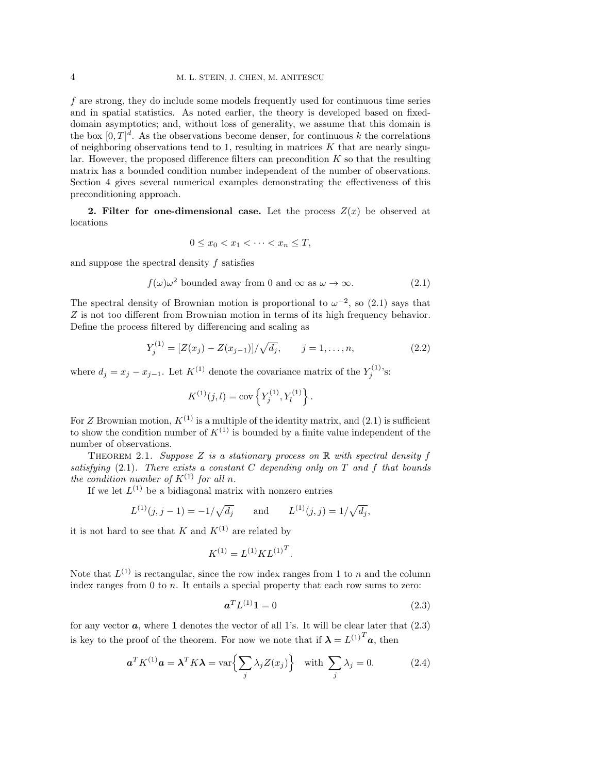*f* are strong, they do include some models frequently used for continuous time series and in spatial statistics. As noted earlier, the theory is developed based on fixeddomain asymptotics; and, without loss of generality, we assume that this domain is the box  $[0, T]^d$ . As the observations become denser, for continuous k the correlations of neighboring observations tend to 1, resulting in matrices  $K$  that are nearly singular. However, the proposed difference filters can precondition *K* so that the resulting matrix has a bounded condition number independent of the number of observations. Section 4 gives several numerical examples demonstrating the effectiveness of this preconditioning approach.

**2. Filter for one-dimensional case.** Let the process  $Z(x)$  be observed at locations

$$
0 \le x_0 < x_1 < \dots < x_n \le T
$$

and suppose the spectral density *f* satisfies

$$
f(\omega)\omega^2
$$
 bounded away from 0 and  $\infty$  as  $\omega \to \infty$ . (2.1)

The spectral density of Brownian motion is proportional to  $\omega^{-2}$ , so (2.1) says that *Z* is not too different from Brownian motion in terms of its high frequency behavior. Define the process filtered by differencing and scaling as

$$
Y_j^{(1)} = [Z(x_j) - Z(x_{j-1})] / \sqrt{d_j}, \qquad j = 1, ..., n,
$$
\n(2.2)

where  $d_j = x_j - x_{j-1}$ . Let  $K^{(1)}$  denote the covariance matrix of the  $Y_j^{(1)}$ 's:

$$
K^{(1)}(j,l) = \text{cov}\left\{Y_j^{(1)}, Y_l^{(1)}\right\}.
$$

For *Z* Brownian motion,  $K^{(1)}$  is a multiple of the identity matrix, and (2.1) is sufficient to show the condition number of  $K^{(1)}$  is bounded by a finite value independent of the number of observations.

Theorem 2.1. *Suppose Z is a stationary process on* R *with spectral density f satisfying* (2.1)*. There exists a constant C depending only on T and f that bounds the condition number of*  $K^{(1)}$  *for all n.* 

If we let  $L^{(1)}$  be a bidiagonal matrix with nonzero entries

$$
L^{(1)}(j, j - 1) = -1/\sqrt{d_j}
$$
 and  $L^{(1)}(j, j) = 1/\sqrt{d_j}$ ,

it is not hard to see that *K* and  $K^{(1)}$  are related by

$$
K^{(1)} = L^{(1)}KL^{(1)^T}.
$$

Note that  $L^{(1)}$  is rectangular, since the row index ranges from 1 to *n* and the column index ranges from 0 to *n*. It entails a special property that each row sums to zero:

$$
\boldsymbol{a}^T L^{(1)} \mathbf{1} = 0 \tag{2.3}
$$

for any vector  $a$ , where 1 denotes the vector of all 1's. It will be clear later that  $(2.3)$ is key to the proof of the theorem. For now we note that if  $\lambda = L^{(1)}^T a$ , then

$$
\boldsymbol{a}^T K^{(1)} \boldsymbol{a} = \boldsymbol{\lambda}^T K \boldsymbol{\lambda} = \text{var}\Big\{\sum_j \lambda_j Z(x_j)\Big\} \quad \text{with } \sum_j \lambda_j = 0. \tag{2.4}
$$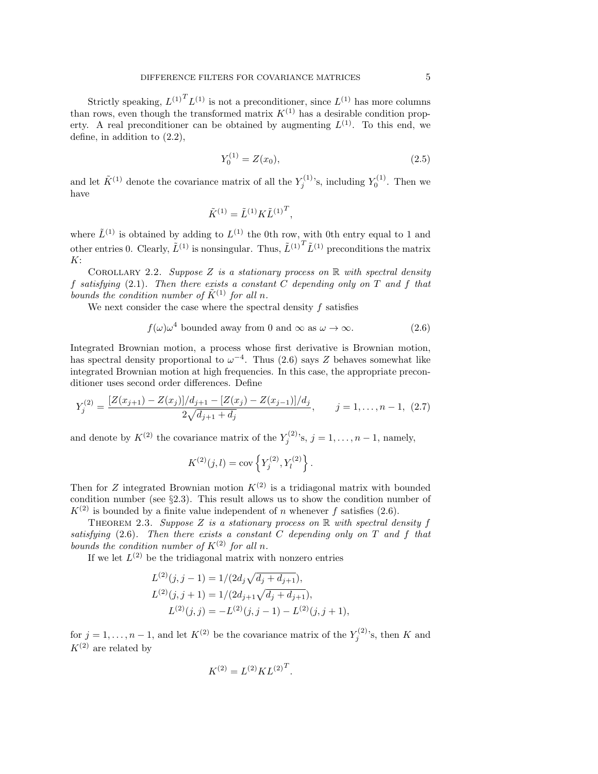Strictly speaking,  $L^{(1)}$ <sup>T</sup> $L^{(1)}$  is not a preconditioner, since  $L^{(1)}$  has more columns than rows, even though the transformed matrix  $K^{(1)}$  has a desirable condition property. A real preconditioner can be obtained by augmenting  $L^{(1)}$ . To this end, we define, in addition to (2.2),

$$
Y_0^{(1)} = Z(x_0),\tag{2.5}
$$

and let  $\tilde{K}^{(1)}$  denote the covariance matrix of all the  $Y_j^{(1)}$ 's, including  $Y_0^{(1)}$ . Then we have

$$
\tilde{K}^{(1)} = \tilde{L}^{(1)} K \tilde{L}^{(1)}^T,
$$

where  $\tilde{L}^{(1)}$  is obtained by adding to  $L^{(1)}$  the 0th row, with 0th entry equal to 1 and other entries 0. Clearly,  $\tilde{L}^{(1)}$  is nonsingular. Thus,  $\tilde{L}^{(1)}^{T} \tilde{L}^{(1)}$  preconditions the matrix *K*:

Corollary 2.2. *Suppose Z is a stationary process on* R *with spectral density f satisfying* (2.1)*. Then there exists a constant C depending only on T and f that bounds the condition number of*  $\tilde{K}^{(1)}$  *for all n.* 

We next consider the case where the spectral density *f* satisfies

$$
f(\omega)\omega^4
$$
 bounded away from 0 and  $\infty$  as  $\omega \to \infty$ . (2.6)

Integrated Brownian motion, a process whose first derivative is Brownian motion, has spectral density proportional to  $\omega^{-4}$ . Thus (2.6) says *Z* behaves somewhat like integrated Brownian motion at high frequencies. In this case, the appropriate preconditioner uses second order differences. Define

$$
Y_j^{(2)} = \frac{[Z(x_{j+1}) - Z(x_j)]/d_{j+1} - [Z(x_j) - Z(x_{j-1})]/d_j}{2\sqrt{d_{j+1} + d_j}}, \qquad j = 1, \dots, n-1, \tag{2.7}
$$

and denote by  $K^{(2)}$  the covariance matrix of the  $Y_j^{(2)}$ 's,  $j = 1, ..., n - 1$ , namely,

$$
K^{(2)}(j,l) = \text{cov}\left\{Y_j^{(2)}, Y_l^{(2)}\right\}.
$$

Then for *Z* integrated Brownian motion  $K^{(2)}$  is a tridiagonal matrix with bounded condition number (see *§*2.3). This result allows us to show the condition number of  $K^{(2)}$  is bounded by a finite value independent of *n* whenever *f* satisfies (2.6).

THEOREM 2.3. *Suppose*  $Z$  *is a stationary process on*  $\mathbb R$  *with spectral density*  $f$ *satisfying* (2.6)*. Then there exists a constant C depending only on T and f that bounds the condition number of*  $K^{(2)}$  *for all n*.

If we let  $L^{(2)}$  be the tridiagonal matrix with nonzero entries

$$
L^{(2)}(j, j - 1) = 1/(2d_j \sqrt{d_j + d_{j+1}}),
$$
  
\n
$$
L^{(2)}(j, j + 1) = 1/(2d_{j+1} \sqrt{d_j + d_{j+1}}),
$$
  
\n
$$
L^{(2)}(j, j) = -L^{(2)}(j, j - 1) - L^{(2)}(j, j + 1),
$$

for  $j = 1, \ldots, n-1$ , and let  $K^{(2)}$  be the covariance matrix of the  $Y_j^{(2)}$ 's, then *K* and  $K^{(2)}$  are related by

$$
K^{(2)} = L^{(2)}KL^{(2)^T}.
$$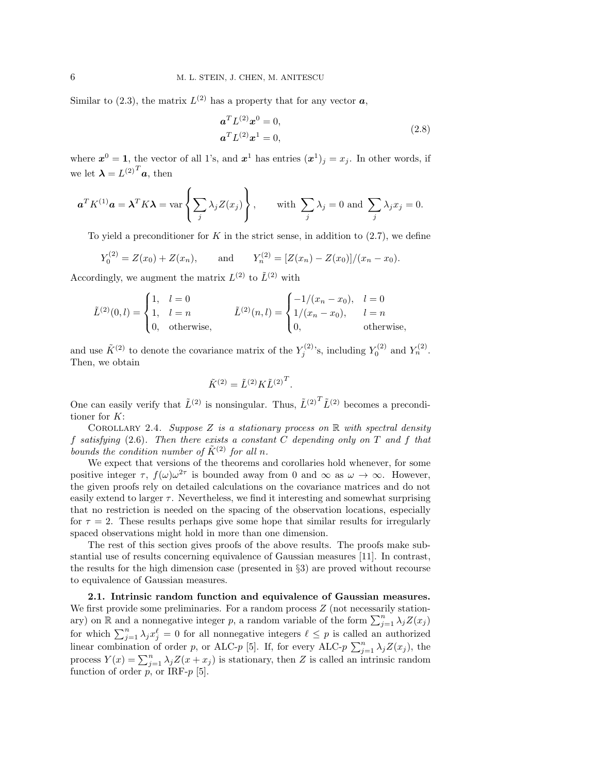Similar to  $(2.3)$ , the matrix  $L^{(2)}$  has a property that for any vector  $a$ ,

$$
\mathbf{a}^T L^{(2)} \mathbf{x}^0 = 0,
$$
  
\n
$$
\mathbf{a}^T L^{(2)} \mathbf{x}^1 = 0,
$$
\n(2.8)

where  $x^0 = 1$ , the vector of all 1's, and  $x^1$  has entries  $(x^1)_j = x_j$ . In other words, if we let  $\boldsymbol{\lambda} = L^{(2)}^{T} \boldsymbol{a}$ , then

$$
\mathbf{a}^T K^{(1)} \mathbf{a} = \boldsymbol{\lambda}^T K \boldsymbol{\lambda} = \text{var}\left\{\sum_j \lambda_j Z(x_j)\right\}, \quad \text{with } \sum_j \lambda_j = 0 \text{ and } \sum_j \lambda_j x_j = 0.
$$

To yield a preconditioner for *K* in the strict sense, in addition to (2.7), we define

$$
Y_0^{(2)} = Z(x_0) + Z(x_n)
$$
, and  $Y_n^{(2)} = [Z(x_n) - Z(x_0)]/(x_n - x_0)$ .

Accordingly, we augment the matrix  $L^{(2)}$  to  $\tilde{L}^{(2)}$  with

$$
\tilde{L}^{(2)}(0,l) = \begin{cases}\n1, & l = 0 \\
1, & l = n \\
0, & \text{otherwise,}\n\end{cases} \qquad \tilde{L}^{(2)}(n,l) = \begin{cases}\n-1/(x_n - x_0), & l = 0 \\
1/(x_n - x_0), & l = n \\
0, & \text{otherwise,}\n\end{cases}
$$

and use  $\tilde{K}^{(2)}$  to denote the covariance matrix of the  $Y_j^{(2)}$ 's, including  $Y_0^{(2)}$  and  $Y_n^{(2)}$ . Then, we obtain

$$
\tilde{K}^{(2)} = \tilde{L}^{(2)} K \tilde{L}^{(2)^T}.
$$

One can easily verify that  $\tilde{L}^{(2)}$  is nonsingular. Thus,  $\tilde{L}^{(2)}^T \tilde{L}^{(2)}$  becomes a preconditioner for *K*:

Corollary 2.4. *Suppose Z is a stationary process on* R *with spectral density f satisfying* (2.6)*. Then there exists a constant C depending only on T and f that bounds the condition number of*  $\tilde{K}^{(2)}$  *for all n.* 

We expect that versions of the theorems and corollaries hold whenever, for some positive integer  $\tau$ ,  $f(\omega)\omega^{2\tau}$  is bounded away from 0 and  $\infty$  as  $\omega \to \infty$ . However, the given proofs rely on detailed calculations on the covariance matrices and do not easily extend to larger  $\tau$ . Nevertheless, we find it interesting and somewhat surprising that no restriction is needed on the spacing of the observation locations, especially for  $\tau = 2$ . These results perhaps give some hope that similar results for irregularly spaced observations might hold in more than one dimension.

The rest of this section gives proofs of the above results. The proofs make substantial use of results concerning equivalence of Gaussian measures [11]. In contrast, the results for the high dimension case (presented in *§*3) are proved without recourse to equivalence of Gaussian measures.

**2.1. Intrinsic random function and equivalence of Gaussian measures.** We first provide some preliminaries. For a random process  $Z$  (not necessarily stationary) on  $\mathbb R$  and a nonnegative integer *p*, a random variable of the form  $\sum_{j=1}^n \lambda_j Z(x_j)$ for which  $\sum_{j=1}^{n} \lambda_j x_j^{\ell} = 0$  for all nonnegative integers  $\ell \leq p$  is called an authorized linear combination of order *p*, or ALC-*p* [5]. If, for every ALC-*p*  $\sum_{j=1}^{n} \lambda_j Z(x_j)$ , the process  $Y(x) = \sum_{j=1}^{n} \lambda_j Z(x + x_j)$  is stationary, then *Z* is called an intrinsic random function of order  $p$ , or IRF- $p$  [5].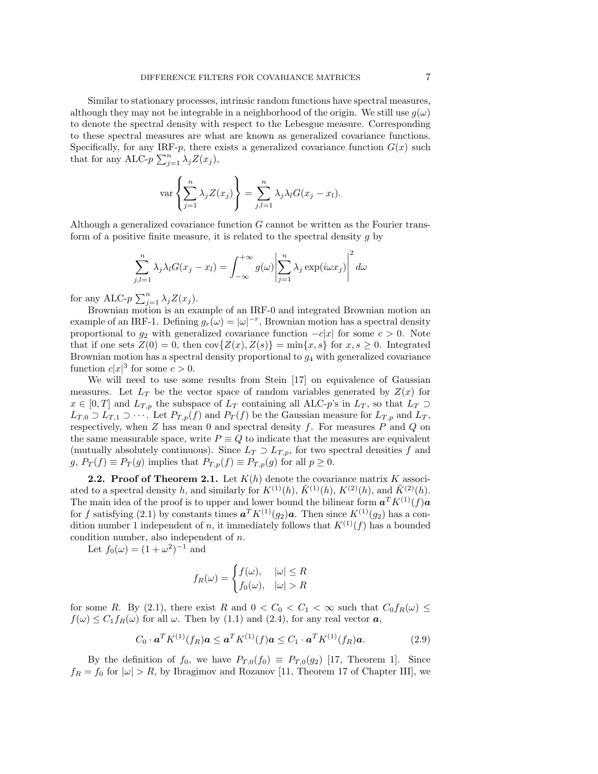Similar to stationary processes, intrinsic random functions have spectral measures, although they may not be integrable in a neighborhood of the origin. We still use  $g(\omega)$ to denote the spectral density with respect to the Lebesgue measure. Corresponding to these spectral measures are what are known as generalized covariance functions. Specifically, for any IRF- $p$ , there exists a generalized covariance function  $G(x)$  such that for any ALC- $p \sum_{j=1}^{n} \lambda_j Z(x_j)$ ,

$$
\operatorname{var}\left\{\sum_{j=1}^n \lambda_j Z(x_j)\right\} = \sum_{j,l=1}^n \lambda_j \lambda_l G(x_j - x_l).
$$

Although a generalized covariance function *G* cannot be written as the Fourier transform of a positive finite measure, it is related to the spectral density *g* by

$$
\sum_{j,l=1}^{n} \lambda_j \lambda_l G(x_j - x_l) = \int_{-\infty}^{+\infty} g(\omega) \left| \sum_{j=1}^{n} \lambda_j \exp(i\omega x_j) \right|^2 d\omega
$$

for any ALC- $p \sum_{j=1}^{n} \lambda_j Z(x_j)$ .

Brownian motion is an example of an IRF-0 and integrated Brownian motion an example of an IRF-1. Defining  $g_r(\omega) = |\omega|^{-r}$ , Brownian motion has a spectral density proportional to  $g_2$  with generalized covariance function  $-c|x|$  for some  $c > 0$ . Note that if one sets  $Z(0) = 0$ , then  $cov{Z(x), Z(s)} = min{x, s}$  for  $x, s \ge 0$ . Integrated Brownian motion has a spectral density proportional to *g*<sup>4</sup> with generalized covariance function  $c|x|^3$  for some  $c > 0$ .

We will need to use some results from Stein [17] on equivalence of Gaussian measures. Let  $L_T$  be the vector space of random variables generated by  $Z(x)$  for *x* ∈ [0, *T*] and *L*<sub>*Tn*</sub> the subspace of *L<sub>T</sub>* containing all ALC-*p*'s in *L<sub>T</sub>*, so that *L<sub>T</sub>* ⊃ *L*<sup>*T*</sup>,0 ⊃ *L*<sup>*T*</sup>,1 ⊃ · · · . Let *P*<sub>*T*</sub>,*p*(*f*) and *P<sub><i>T*</sub></sub>(*f*) be the Gaussian measure for *L*<sub>*T*</sub>,*p* and *L*<sub>*T*</sub> respectively, when *Z* has mean 0 and spectral density *f*. For measures *P* and *Q* on the same measurable space, write  $P \equiv Q$  to indicate that the measures are equivalent (mutually absolutely continuous). Since  $L_T \supset L_{T,p}$ , for two spectral densities f and *g*,  $P_T(f) \equiv P_T(g)$  implies that  $P_{T,p}(f) \equiv P_{T,p}(g)$  for all  $p \ge 0$ .

**2.2. Proof of Theorem 2.1.** Let  $K(h)$  denote the covariance matrix  $K$  associated to a spectral density *h*, and similarly for  $K^{(1)}(h)$ ,  $\tilde{K}^{(1)}(h)$ ,  $K^{(2)}(h)$ , and  $\tilde{K}^{(2)}(h)$ . The main idea of the proof is to upper and lower bound the bilinear form  $a^T K^{(1)}(f) a$ for *f* satisfying (2.1) by constants times  $a^T K^{(1)}(g_2) a$ . Then since  $K^{(1)}(g_2)$  has a condition number 1 independent of *n*, it immediately follows that  $K^{(1)}(f)$  has a bounded condition number, also independent of *n*.

Let  $f_0(\omega) = (1 + \omega^2)^{-1}$  and

$$
f_R(\omega) = \begin{cases} f(\omega), & |\omega| \le R \\ f_0(\omega), & |\omega| > R \end{cases}
$$

for some *R*. By (2.1), there exist *R* and  $0 < C_0 < C_1 < \infty$  such that  $C_0 f_R(\omega) \le$  $f(\omega) \leq C_1 f_R(\omega)$  for all  $\omega$ . Then by (1.1) and (2.4), for any real vector *a*,

$$
C_0 \cdot \mathbf{a}^T K^{(1)}(f_R) \mathbf{a} \leq \mathbf{a}^T K^{(1)}(f) \mathbf{a} \leq C_1 \cdot \mathbf{a}^T K^{(1)}(f_R) \mathbf{a}.
$$
 (2.9)

By the definition of  $f_0$ , we have  $P_{T,0}(f_0) \equiv P_{T,0}(g_2)$  [17, Theorem 1]. Since  $f_R = f_0$  for  $|\omega| > R$ , by Ibragimov and Rozanov [11, Theorem 17 of Chapter III], we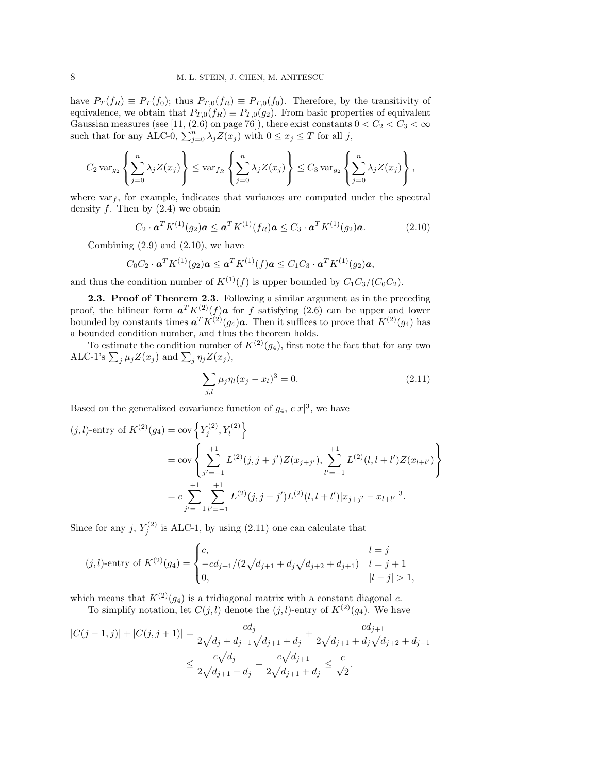have  $P_T(f_R) \equiv P_T(f_0)$ ; thus  $P_{T,0}(f_R) \equiv P_{T,0}(f_0)$ . Therefore, by the transitivity of equivalence, we obtain that  $P_{T,0}(f_R) \equiv P_{T,0}(g_2)$ . From basic properties of equivalent Gaussian measures (see [11, (2.6) on page 76]), there exist constants  $0 < C_2 < C_3 < \infty$ such that for any ALC-0,  $\sum_{j=0}^{n} \lambda_j Z(x_j)$  with  $0 \le x_j \le T$  for all *j*,

$$
C_2 \operatorname{var}_{g_2}\left\{\sum_{j=0}^n \lambda_j Z(x_j)\right\} \leq \operatorname{var}_{f_R}\left\{\sum_{j=0}^n \lambda_j Z(x_j)\right\} \leq C_3 \operatorname{var}_{g_2}\left\{\sum_{j=0}^n \lambda_j Z(x_j)\right\},\,
$$

where  $var_f$ , for example, indicates that variances are computed under the spectral density  $f$ . Then by  $(2.4)$  we obtain

$$
C_2 \cdot \mathbf{a}^T K^{(1)}(g_2) \mathbf{a} \leq \mathbf{a}^T K^{(1)}(f_R) \mathbf{a} \leq C_3 \cdot \mathbf{a}^T K^{(1)}(g_2) \mathbf{a}.
$$
 (2.10)

Combining  $(2.9)$  and  $(2.10)$ , we have

$$
C_0C_2 \cdot \mathbf{a}^T K^{(1)}(g_2) \mathbf{a} \leq \mathbf{a}^T K^{(1)}(f) \mathbf{a} \leq C_1C_3 \cdot \mathbf{a}^T K^{(1)}(g_2) \mathbf{a},
$$

and thus the condition number of  $K^{(1)}(f)$  is upper bounded by  $C_1C_3/(C_0C_2)$ .

**2.3. Proof of Theorem 2.3.** Following a similar argument as in the preceding proof, the bilinear form  $a^T K^{(2)}(f) a$  for f satisfying (2.6) can be upper and lower bounded by constants times  $a^T K^{(2)}(g_4) a$ . Then it suffices to prove that  $K^{(2)}(g_4)$  has a bounded condition number, and thus the theorem holds.

To estimate the condition number of  $K^{(2)}(q_4)$ , first note the fact that for any two ALC-1's  $\sum_j \mu_j Z(x_j)$  and  $\sum_j \eta_j Z(x_j)$ ,

$$
\sum_{j,l} \mu_j \eta_l (x_j - x_l)^3 = 0. \tag{2.11}
$$

Based on the generalized covariance function of  $g_4$ ,  $c|x|^3$ , we have

$$
(j,l)\text{-entry of } K^{(2)}(g_4) = \text{cov}\left\{Y_j^{(2)}, Y_l^{(2)}\right\}
$$
  
= 
$$
\text{cov}\left\{\sum_{j'= -1}^{+1} L^{(2)}(j,j+j')Z(x_{j+j'}), \sum_{l'=-1}^{+1} L^{(2)}(l,l+l')Z(x_{l+l'})\right\}
$$
  
= 
$$
c \sum_{j'=-1}^{+1} \sum_{l'=-1}^{+1} L^{(2)}(j,j+j')L^{(2)}(l,l+l')|x_{j+j'} - x_{l+l'}|^3.
$$

Since for any  $j, Y_j^{(2)}$  is ALC-1, by using (2.11) one can calculate that

$$
(j,l)\text{-entry of } K^{(2)}(g_4) = \begin{cases} c, & l = j \\ -cd_{j+1}/(2\sqrt{d_{j+1} + d_j}\sqrt{d_{j+2} + d_{j+1}}) & l = j+1 \\ 0, & |l - j| > 1, \end{cases}
$$

which means that  $K^{(2)}(q_4)$  is a tridiagonal matrix with a constant diagonal *c*.

To simplify notation, let  $C(j, l)$  denote the  $(j, l)$ -entry of  $K^{(2)}(q_4)$ . We have

$$
|C(j-1,j)| + |C(j,j+1)| = \frac{cd_j}{2\sqrt{d_j + d_{j-1}}\sqrt{d_{j+1} + d_j}} + \frac{cd_{j+1}}{2\sqrt{d_{j+1} + d_j}\sqrt{d_{j+2} + d_{j+1}}} \\
\leq \frac{c\sqrt{d_j}}{2\sqrt{d_{j+1} + d_j}} + \frac{c\sqrt{d_{j+1}}}{2\sqrt{d_{j+1} + d_j}} \leq \frac{c}{\sqrt{2}}.
$$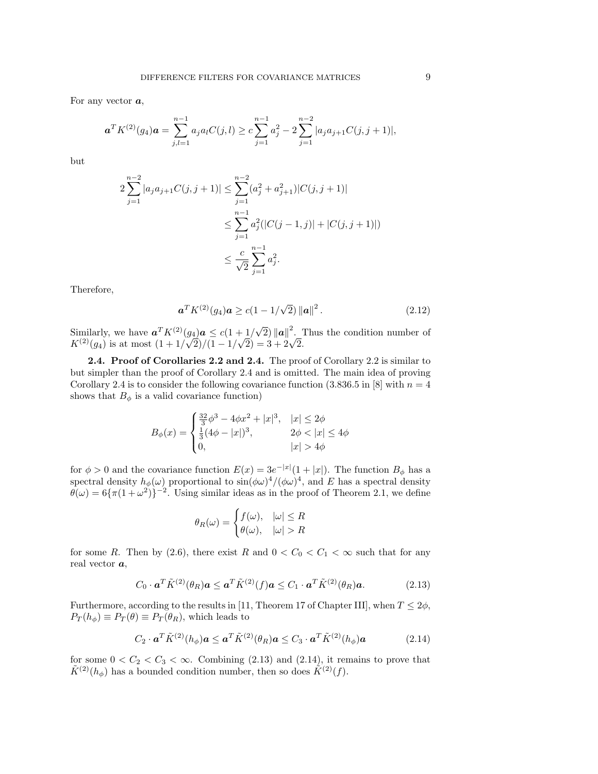For any vector *a*,

$$
\boldsymbol{a}^T K^{(2)}(g_4)\boldsymbol{a} = \sum_{j,l=1}^{n-1} a_j a_l C(j,l) \ge c \sum_{j=1}^{n-1} a_j^2 - 2 \sum_{j=1}^{n-2} |a_j a_{j+1} C(j,j+1)|,
$$

but

$$
2\sum_{j=1}^{n-2} |a_j a_{j+1} C(j, j+1)| \le \sum_{j=1}^{n-2} (a_j^2 + a_{j+1}^2) |C(j, j+1)|
$$
  

$$
\le \sum_{j=1}^{n-1} a_j^2 (|C(j-1, j)| + |C(j, j+1)|)
$$
  

$$
\le \frac{c}{\sqrt{2}} \sum_{j=1}^{n-1} a_j^2.
$$

Therefore,

$$
\mathbf{a}^T K^{(2)}(g_4) \mathbf{a} \ge c(1 - 1/\sqrt{2}) ||\mathbf{a}||^2.
$$
 (2.12)

Similarly, we have  $a^T K^{(2)}(g_4) a \le c(1 + 1/\sqrt{2}) ||a||^2$ . Thus the condition number of Similarly, we have  $\mathbf{a} \cdot \mathbf{K}^{(2)}(g_4) \mathbf{a} \le c(1 + 1/\sqrt{2}) ||\mathbf{a}||$ .<br> $K^{(2)}(g_4)$  is at most  $(1 + 1/\sqrt{2})/(1 - 1/\sqrt{2}) = 3 + 2\sqrt{2}$ .

**2.4. Proof of Corollaries 2.2 and 2.4.** The proof of Corollary 2.2 is similar to but simpler than the proof of Corollary 2.4 and is omitted. The main idea of proving Corollary 2.4 is to consider the following covariance function  $(3.836.5 \text{ in } [8] \text{ with } n=4$ shows that  $B_{\phi}$  is a valid covariance function)

$$
B_{\phi}(x) = \begin{cases} \frac{32}{3}\phi^3 - 4\phi x^2 + |x|^3, & |x| \le 2\phi \\ \frac{1}{3}(4\phi - |x|)^3, & 2\phi < |x| \le 4\phi \\ 0, & |x| > 4\phi \end{cases}
$$

for  $\phi > 0$  and the covariance function  $E(x) = 3e^{-|x|}(1+|x|)$ . The function  $B_{\phi}$  has a spectral density  $h_{\phi}(\omega)$  proportional to  $\sin(\phi \omega)^4/(\phi \omega)^4$ , and *E* has a spectral density  $\theta(\omega) = 6\{\pi(1+\omega^2)\}$ <sup>-2</sup>. Using similar ideas as in the proof of Theorem 2.1, we define

$$
\theta_R(\omega) = \begin{cases} f(\omega), & |\omega| \le R \\ \theta(\omega), & |\omega| > R \end{cases}
$$

for some *R*. Then by (2.6), there exist *R* and  $0 < C_0 < C_1 < \infty$  such that for any real vector *a*,

$$
C_0 \cdot \mathbf{a}^T \tilde{K}^{(2)}(\theta_R) \mathbf{a} \le \mathbf{a}^T \tilde{K}^{(2)}(f) \mathbf{a} \le C_1 \cdot \mathbf{a}^T \tilde{K}^{(2)}(\theta_R) \mathbf{a}.
$$
 (2.13)

Furthermore, according to the results in [11, Theorem 17 of Chapter III], when  $T \le 2\phi$ ,  $P_T(h_\phi) \equiv P_T(\theta) \equiv P_T(\theta_R)$ , which leads to

$$
C_2 \cdot \mathbf{a}^T \tilde{K}^{(2)}(h_{\phi}) \mathbf{a} \leq \mathbf{a}^T \tilde{K}^{(2)}(\theta_R) \mathbf{a} \leq C_3 \cdot \mathbf{a}^T \tilde{K}^{(2)}(h_{\phi}) \mathbf{a}
$$
(2.14)

for some  $0 < C_2 < C_3 < \infty$ . Combining (2.13) and (2.14), it remains to prove that  $\tilde{K}^{(2)}(h_{\phi})$  has a bounded condition number, then so does  $\tilde{K}^{(2)}(f)$ .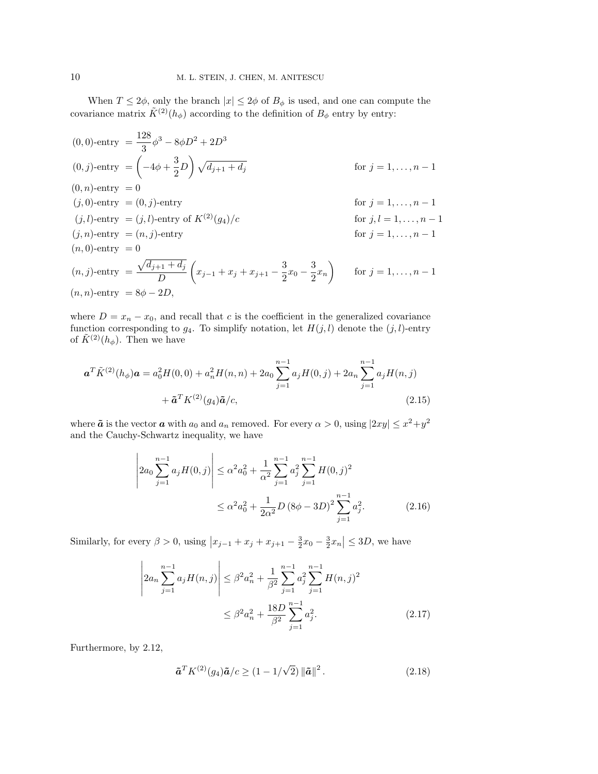When  $T \leq 2\phi$ , only the branch  $|x| \leq 2\phi$  of  $B_{\phi}$  is used, and one can compute the covariance matrix  $\tilde{K}^{(2)}(h_{\phi})$  according to the definition of  $B_{\phi}$  entry by entry:

$$
(0,0)-entry = \frac{128}{3}\phi^3 - 8\phi D^2 + 2D^3
$$
  
\n
$$
(0,j)-entry = \left(-4\phi + \frac{3}{2}D\right)\sqrt{d_{j+1} + d_j} \qquad \text{for } j = 1,...,n-1
$$
  
\n
$$
(0,n)-entry = 0 \qquad \text{for } j = 1,...,n-1
$$
  
\n
$$
(j,0)-entry = (0,j)-entry \qquad \text{for } j = 1,...,n-1
$$
  
\n
$$
(j,l)-entry = (j,l)-entry \qquad \text{for } j, l = 1,...,n-1
$$
  
\n
$$
(j,n)-entry = (n,j)-entry \qquad \text{for } j = 1,...,n-1
$$
  
\n
$$
(n,0)-entry = 0 \qquad \qquad (n,j)-entry = \frac{\sqrt{d_{j+1} + d_j}}{D} \left(x_{j-1} + x_j + x_{j+1} - \frac{3}{2}x_0 - \frac{3}{2}x_n\right) \qquad \text{for } j = 1,...,n-1
$$
  
\n
$$
(n,n)-entry = 8\phi - 2D,
$$

where  $D = x_n - x_0$ , and recall that *c* is the coefficient in the generalized covariance function corresponding to  $g_4$ . To simplify notation, let  $H(j, l)$  denote the  $(j, l)$ -entry of  $\tilde{K}^{(2)}(h_{\phi})$ . Then we have

$$
\mathbf{a}^T \tilde{K}^{(2)}(h_{\phi}) \mathbf{a} = a_0^2 H(0,0) + a_n^2 H(n,n) + 2a_0 \sum_{j=1}^{n-1} a_j H(0,j) + 2a_n \sum_{j=1}^{n-1} a_j H(n,j) + \tilde{\mathbf{a}}^T K^{(2)}(g_4) \tilde{\mathbf{a}}/c,
$$
\n(2.15)

where  $\tilde{a}$  is the vector  $a$  with  $a_0$  and  $a_n$  removed. For every  $\alpha > 0$ , using  $|2xy| \leq x^2 + y^2$ and the Cauchy-Schwartz inequality, we have

$$
\left| 2a_0 \sum_{j=1}^{n-1} a_j H(0,j) \right| \le \alpha^2 a_0^2 + \frac{1}{\alpha^2} \sum_{j=1}^{n-1} a_j^2 \sum_{j=1}^{n-1} H(0,j)^2
$$
  

$$
\le \alpha^2 a_0^2 + \frac{1}{2\alpha^2} D (8\phi - 3D)^2 \sum_{j=1}^{n-1} a_j^2.
$$
 (2.16)

Similarly, for every  $\beta > 0$ , using  $|x_{j-1} + x_j + x_{j+1} - \frac{3}{2}x_0 - \frac{3}{2}x_n| \le 3D$ , we have

$$
\left| 2a_n \sum_{j=1}^{n-1} a_j H(n,j) \right| \le \beta^2 a_n^2 + \frac{1}{\beta^2} \sum_{j=1}^{n-1} a_j^2 \sum_{j=1}^{n-1} H(n,j)^2
$$
  

$$
\le \beta^2 a_n^2 + \frac{18D}{\beta^2} \sum_{j=1}^{n-1} a_j^2.
$$
 (2.17)

Furthermore, by 2.12,

$$
\tilde{\boldsymbol{a}}^T K^{(2)}(g_4) \tilde{\boldsymbol{a}}/c \ge (1 - 1/\sqrt{2}) ||\tilde{\boldsymbol{a}}||^2.
$$
 (2.18)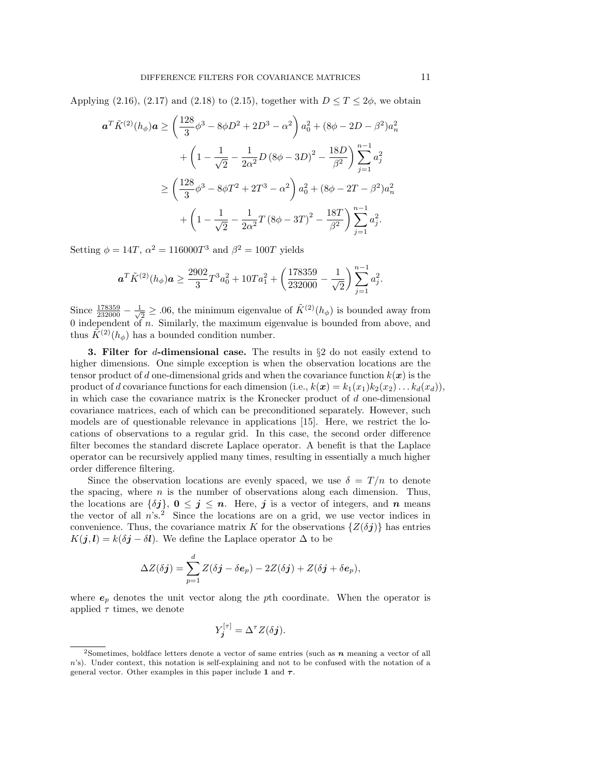Applying (2.16), (2.17) and (2.18) to (2.15), together with  $D \leq T \leq 2\phi$ , we obtain

$$
\mathbf{a}^T \tilde{K}^{(2)}(h_{\phi}) \mathbf{a} \ge \left(\frac{128}{3}\phi^3 - 8\phi D^2 + 2D^3 - \alpha^2\right) a_0^2 + (8\phi - 2D - \beta^2) a_n^2
$$

$$
+ \left(1 - \frac{1}{\sqrt{2}} - \frac{1}{2\alpha^2}D\left(8\phi - 3D\right)^2 - \frac{18D}{\beta^2}\right) \sum_{j=1}^{n-1} a_j^2
$$

$$
\ge \left(\frac{128}{3}\phi^3 - 8\phi T^2 + 2T^3 - \alpha^2\right) a_0^2 + (8\phi - 2T - \beta^2) a_n^2
$$

$$
+ \left(1 - \frac{1}{\sqrt{2}} - \frac{1}{2\alpha^2}T\left(8\phi - 3T\right)^2 - \frac{18T}{\beta^2}\right) \sum_{j=1}^{n-1} a_j^2.
$$

Setting  $\phi = 14T$ ,  $\alpha^2 = 116000T^3$  and  $\beta^2 = 100T$  yields

$$
\boldsymbol{a}^T\tilde{K}^{(2)}(h_{\phi})\boldsymbol{a} \geq \frac{2902}{3}T^3a_0^2 + 10Ta_1^2 + \left(\frac{178359}{232000} - \frac{1}{\sqrt{2}}\right)\sum_{j=1}^{n-1}a_j^2.
$$

Since  $\frac{178359}{232000} - \frac{1}{\sqrt{2}}$  $\frac{1}{2} \geq .06$ , the minimum eigenvalue of  $\tilde{K}^{(2)}(h_{\phi})$  is bounded away from 0 independent of *n*. Similarly, the maximum eigenvalue is bounded from above, and thus  $\tilde{K}^{(2)}(h_{\phi})$  has a bounded condition number.

**3. Filter for** *d***-dimensional case.** The results in *§*2 do not easily extend to higher dimensions. One simple exception is when the observation locations are the tensor product of *d* one-dimensional grids and when the covariance function  $k(x)$  is the product of *d* covariance functions for each dimension (i.e.,  $k(x) = k_1(x_1)k_2(x_2) \ldots k_d(x_d)$ ), in which case the covariance matrix is the Kronecker product of *d* one-dimensional covariance matrices, each of which can be preconditioned separately. However, such models are of questionable relevance in applications [15]. Here, we restrict the locations of observations to a regular grid. In this case, the second order difference filter becomes the standard discrete Laplace operator. A benefit is that the Laplace operator can be recursively applied many times, resulting in essentially a much higher order difference filtering.

Since the observation locations are evenly spaced, we use  $\delta = T/n$  to denote the spacing, where *n* is the number of observations along each dimension. Thus, the locations are  $\{\delta j\}$ ,  $0 \leq j \leq n$ . Here, *j* is a vector of integers, and *n* means the vector of all  $n$ 's.<sup>2</sup> Since the locations are on a grid, we use vector indices in convenience. Thus, the covariance matrix *K* for the observations  $\{Z(\delta j)\}\$ has entries  $K(j, l) = k(\delta j - \delta l)$ . We define the Laplace operator  $\Delta$  to be

$$
\Delta Z(\delta \boldsymbol{j}) = \sum_{p=1}^d Z(\delta \boldsymbol{j} - \delta \boldsymbol{e}_p) - 2Z(\delta \boldsymbol{j}) + Z(\delta \boldsymbol{j} + \delta \boldsymbol{e}_p),
$$

where *e<sup>p</sup>* denotes the unit vector along the *p*th coordinate. When the operator is applied  $\tau$  times, we denote

$$
Y_j^{[\tau]} = \Delta^{\tau} Z(\delta j).
$$

<sup>2</sup>Sometimes, boldface letters denote a vector of same entries (such as *n* meaning a vector of all *n*'s). Under context, this notation is self-explaining and not to be confused with the notation of a general vector. Other examples in this paper include **1** and *τ*.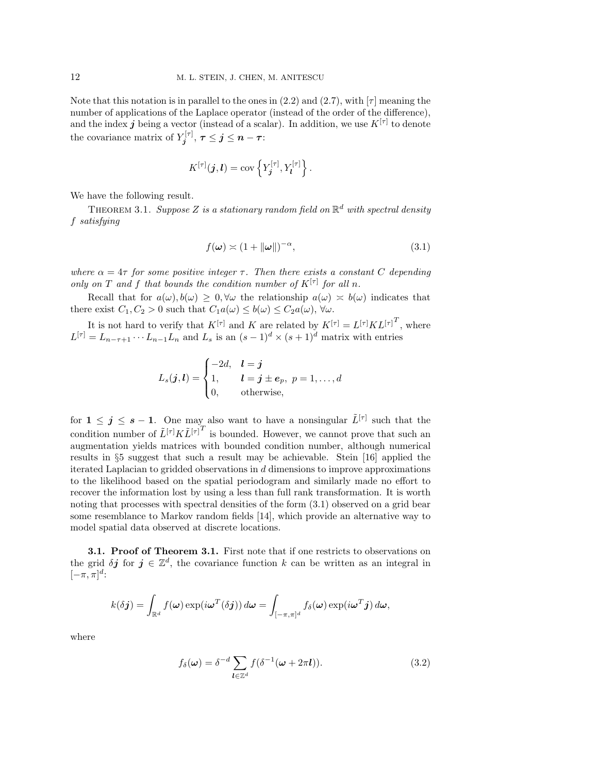Note that this notation is in parallel to the ones in  $(2.2)$  and  $(2.7)$ , with  $\lceil \tau \rceil$  meaning the number of applications of the Laplace operator (instead of the order of the difference), and the index  $j$  being a vector (instead of a scalar). In addition, we use  $K^{[\tau]}$  to denote the covariance matrix of  $Y_i^{[\tau]}$  $j^{[\tau]}_j, \, \tau \leq j \leq n-\tau$  :

$$
K^{[\tau]}(j,l) = \operatorname{cov} \left\{Y_j^{[\tau]}, Y_l^{[\tau]}\right\}.
$$

We have the following result.

THEOREM 3.1. Suppose Z is a stationary random field on  $\mathbb{R}^d$  with spectral density *f satisfying*

$$
f(\boldsymbol{\omega}) \asymp (1 + \|\boldsymbol{\omega}\|)^{-\alpha},\tag{3.1}
$$

*where*  $\alpha = 4\tau$  *for some positive integer*  $\tau$ *. Then there exists* a constant *C* depending *only on T* and *f* that bounds the condition number of  $K^{[\tau]}$  for all *n*.

Recall that for  $a(\omega), b(\omega) \geq 0, \forall \omega$  the relationship  $a(\omega) \approx b(\omega)$  indicates that there exist  $C_1, C_2 > 0$  such that  $C_1 a(\omega) \leq b(\omega) \leq C_2 a(\omega)$ ,  $\forall \omega$ .

It is not hard to verify that  $K^{[\tau]}$  and *K* are related by  $K^{[\tau]} = L^{[\tau]} K L^{[\tau]}^T$ , where  $L^{[\tau]} = L_{n-\tau+1} \cdots L_{n-1} L_n$  and  $L_s$  is an  $(s-1)^d \times (s+1)^d$  matrix with entries

$$
L_s(\boldsymbol{j},\boldsymbol{l}) = \begin{cases} -2d, & \boldsymbol{l} = \boldsymbol{j} \\ 1, & \boldsymbol{l} = \boldsymbol{j} \pm \boldsymbol{e}_p, \ p = 1,\ldots,d \\ 0, & \text{otherwise}, \end{cases}
$$

for  $1 \leq j \leq s-1$ . One may also want to have a nonsingular  $\tilde{L}^{[\tau]}$  such that the condition number of  $\tilde{L}^{[\tau]} K \tilde{L}^{[\tau]}$  is bounded. However, we cannot prove that such an augmentation yields matrices with bounded condition number, although numerical results in *§*5 suggest that such a result may be achievable. Stein [16] applied the iterated Laplacian to gridded observations in *d* dimensions to improve approximations to the likelihood based on the spatial periodogram and similarly made no effort to recover the information lost by using a less than full rank transformation. It is worth noting that processes with spectral densities of the form (3.1) observed on a grid bear some resemblance to Markov random fields [14], which provide an alternative way to model spatial data observed at discrete locations.

**3.1. Proof of Theorem 3.1.** First note that if one restricts to observations on the grid  $\delta j$  for  $j \in \mathbb{Z}^d$ , the covariance function k can be written as an integral in  $[-\pi, \pi]^d$ :

$$
k(\delta \boldsymbol{j}) = \int_{\mathbb{R}^d} f(\boldsymbol{\omega}) \exp(i \boldsymbol{\omega}^T(\delta \boldsymbol{j})) d\boldsymbol{\omega} = \int_{[-\pi,\pi]^d} f_{\delta}(\boldsymbol{\omega}) \exp(i \boldsymbol{\omega}^T \boldsymbol{j}) d\boldsymbol{\omega},
$$

where

$$
f_{\delta}(\omega) = \delta^{-d} \sum_{\mathbf{l} \in \mathbb{Z}^d} f(\delta^{-1}(\omega + 2\pi \mathbf{l})). \tag{3.2}
$$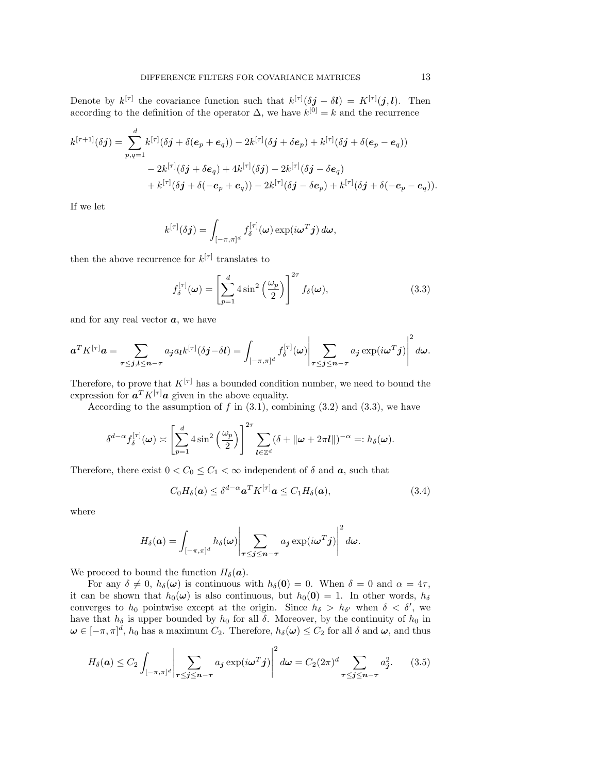Denote by  $k^{[\tau]}$  the covariance function such that  $k^{[\tau]}(\delta j - \delta l) = K^{[\tau]}(j, l)$ . Then according to the definition of the operator  $\Delta$ , we have  $k^{[0]} = k$  and the recurrence

$$
k^{[\tau+1]}(\delta \mathbf{j}) = \sum_{p,q=1}^{d} k^{[\tau]}(\delta \mathbf{j} + \delta(\mathbf{e}_p + \mathbf{e}_q)) - 2k^{[\tau]}(\delta \mathbf{j} + \delta \mathbf{e}_p) + k^{[\tau]}(\delta \mathbf{j} + \delta(\mathbf{e}_p - \mathbf{e}_q))
$$
  
- 2k^{[\tau]}(\delta \mathbf{j} + \delta \mathbf{e}\_q) + 4k^{[\tau]}(\delta \mathbf{j}) - 2k^{[\tau]}(\delta \mathbf{j} - \delta \mathbf{e}\_q)  
+ k^{[\tau]}(\delta \mathbf{j} + \delta(-\mathbf{e}\_p + \mathbf{e}\_q)) - 2k^{[\tau]}(\delta \mathbf{j} - \delta \mathbf{e}\_p) + k^{[\tau]}(\delta \mathbf{j} + \delta(-\mathbf{e}\_p - \mathbf{e}\_q)).

If we let

$$
k^{[\tau]}(\delta \boldsymbol{j}) = \int_{[-\pi,\pi]^d} f_{\delta}^{[\tau]}(\boldsymbol{\omega}) \exp(i \boldsymbol{\omega}^T \boldsymbol{j}) d \boldsymbol{\omega},
$$

then the above recurrence for  $k^{[\tau]}$  translates to

$$
f_{\delta}^{[\tau]}(\omega) = \left[\sum_{p=1}^{d} 4\sin^2\left(\frac{\omega_p}{2}\right)\right]^{2\tau} f_{\delta}(\omega), \tag{3.3}
$$

and for any real vector *a*, we have

$$
\boldsymbol{a}^T K^{[\tau]} \boldsymbol{a} = \sum_{\boldsymbol{\tau} \leq \boldsymbol{j}, \boldsymbol{l} \leq \boldsymbol{n} - \boldsymbol{\tau}} a_{\boldsymbol{j}} a_{\boldsymbol{l}} k^{[\tau]} (\delta \boldsymbol{j} - \delta \boldsymbol{l}) = \int_{[-\pi,\pi]^d} f_{\delta}^{[\tau]}(\boldsymbol{\omega}) \Bigg| \sum_{\boldsymbol{\tau} \leq \boldsymbol{j} \leq \boldsymbol{n} - \boldsymbol{\tau}} a_{\boldsymbol{j}} \exp(i \boldsymbol{\omega}^T \boldsymbol{j}) \Bigg|^2 d \boldsymbol{\omega}.
$$

Therefore, to prove that  $K^{[\tau]}$  has a bounded condition number, we need to bound the expression for  $a^T K^{[\tau]} a$  given in the above equality.

According to the assumption of  $f$  in  $(3.1)$ , combining  $(3.2)$  and  $(3.3)$ , we have

$$
\delta^{d-\alpha} f_{\delta}^{[\tau]}(\boldsymbol{\omega}) \asymp \left[ \sum_{p=1}^{d} 4 \sin^2 \left( \frac{\omega_p}{2} \right) \right]^{2\tau} \sum_{\boldsymbol{l} \in \mathbb{Z}^d} (\delta + ||\boldsymbol{\omega} + 2\pi \boldsymbol{l}||)^{-\alpha} =: h_{\delta}(\boldsymbol{\omega}).
$$

Therefore, there exist  $0 < C_0 \le C_1 < \infty$  independent of  $\delta$  and  $\alpha$ , such that

$$
C_0H_\delta(\mathbf{a}) \leq \delta^{d-\alpha}\mathbf{a}^T K^{[\tau]}\mathbf{a} \leq C_1H_\delta(\mathbf{a}),\tag{3.4}
$$

where

$$
H_{\delta}(\boldsymbol{a}) = \int_{[-\pi,\pi]^d} h_{\delta}(\boldsymbol{\omega}) \Bigg| \sum_{\boldsymbol{\tau} \leq \boldsymbol{j} \leq \boldsymbol{n} - \boldsymbol{\tau}} a_{\boldsymbol{j}} \exp(i\boldsymbol{\omega}^T \boldsymbol{j}) \Bigg|^2 d\boldsymbol{\omega}.
$$

We proceed to bound the function  $H_\delta(\mathbf{a})$ .

For any  $\delta \neq 0$ ,  $h_{\delta}(\omega)$  is continuous with  $h_{\delta}(0) = 0$ . When  $\delta = 0$  and  $\alpha = 4\tau$ , it can be shown that  $h_0(\omega)$  is also continuous, but  $h_0(0) = 1$ . In other words,  $h_\delta$ converges to  $h_0$  pointwise except at the origin. Since  $h_\delta > h_{\delta}$  when  $\delta < \delta'$ , we have that  $h_\delta$  is upper bounded by  $h_0$  for all  $\delta$ . Moreover, by the continuity of  $h_0$  in  $\omega \in [-\pi, \pi]^d$ , *h*<sub>0</sub> has a maximum  $C_2$ . Therefore,  $h_\delta(\omega) \leq C_2$  for all  $\delta$  and  $\omega$ , and thus

$$
H_{\delta}(\boldsymbol{a}) \leq C_2 \int_{[-\pi,\pi]^d} \left| \sum_{\tau \leq \boldsymbol{j} \leq \boldsymbol{n} - \tau} a_{\boldsymbol{j}} \exp(i\boldsymbol{\omega}^T \boldsymbol{j}) \right|^2 d\boldsymbol{\omega} = C_2 (2\pi)^d \sum_{\tau \leq \boldsymbol{j} \leq \boldsymbol{n} - \tau} a_{\boldsymbol{j}}^2.
$$
 (3.5)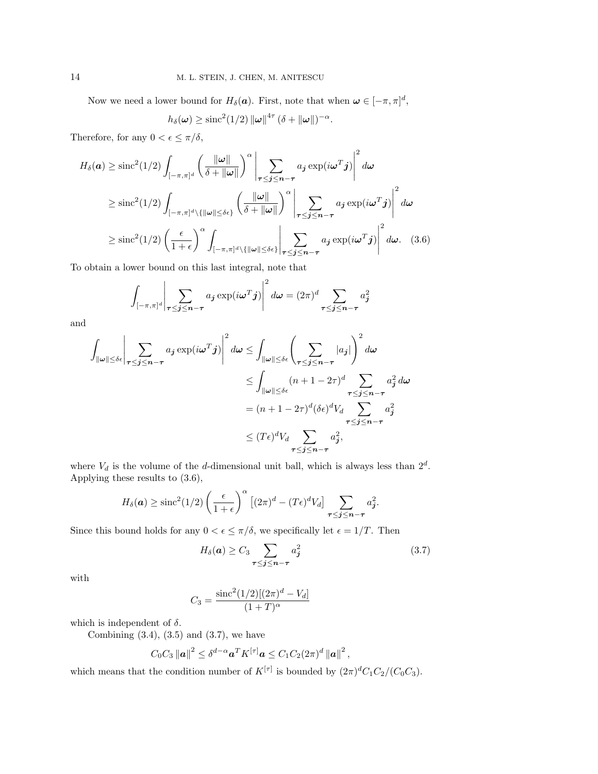Now we need a lower bound for  $H_\delta(\mathbf{a})$ . First, note that when  $\mathbf{w} \in [-\pi, \pi]^d$ ,

$$
h_{\delta}(\boldsymbol{\omega}) \geq \mathrm{sinc}^2(1/2) \left\| \boldsymbol{\omega} \right\|^{4\tau} (\delta + \left\| \boldsymbol{\omega} \right\|)^{-\alpha}.
$$

Therefore, for any  $0 < \epsilon \leq \pi/\delta$ ,

$$
H_{\delta}(\boldsymbol{a}) \geq \mathrm{sinc}^{2}(1/2) \int_{[-\pi,\pi]^{d}} \left(\frac{\|\omega\|}{\delta + \|\omega\|}\right)^{\alpha} \left|\sum_{\tau \leq \boldsymbol{j} \leq \boldsymbol{n} - \tau} a_{\boldsymbol{j}} \exp(i\omega^{T} \boldsymbol{j})\right|^{2} d\omega
$$
  
\n
$$
\geq \mathrm{sinc}^{2}(1/2) \int_{[-\pi,\pi]^{d} \setminus \{ \|\omega\| \leq \delta \epsilon \}} \left(\frac{\|\omega\|}{\delta + \|\omega\|}\right)^{\alpha} \left|\sum_{\tau \leq \boldsymbol{j} \leq \boldsymbol{n} - \tau} a_{\boldsymbol{j}} \exp(i\omega^{T} \boldsymbol{j})\right|^{2} d\omega
$$
  
\n
$$
\geq \mathrm{sinc}^{2}(1/2) \left(\frac{\epsilon}{1 + \epsilon}\right)^{\alpha} \int_{[-\pi,\pi]^{d} \setminus \{ \|\omega\| \leq \delta \epsilon \}} \left|\sum_{\tau \leq \boldsymbol{j} \leq \boldsymbol{n} - \tau} a_{\boldsymbol{j}} \exp(i\omega^{T} \boldsymbol{j})\right|^{2} d\omega. \quad (3.6)
$$

To obtain a lower bound on this last integral, note that

$$
\int_{[-\pi,\pi]^d} \left| \sum_{\tau \leq j \leq n-\tau} a_j \exp(i\omega^T j) \right|^2 d\omega = (2\pi)^d \sum_{\tau \leq j \leq n-\tau} a_j^2
$$

and

$$
\int_{\|\omega\| \le \delta\epsilon} \left| \sum_{\tau \le j \le n-\tau} a_j \exp(i\omega^T j) \right|^2 d\omega \le \int_{\|\omega\| \le \delta\epsilon} \left( \sum_{\tau \le j \le n-\tau} |a_j| \right)^2 d\omega
$$
  
\n
$$
\le \int_{\|\omega\| \le \delta\epsilon} (n+1-2\tau)^d \sum_{\tau \le j \le n-\tau} a_j^2 d\omega
$$
  
\n
$$
= (n+1-2\tau)^d (\delta\epsilon)^d V_d \sum_{\tau \le j \le n-\tau} a_j^2
$$
  
\n
$$
\le (T\epsilon)^d V_d \sum_{\tau \le j \le n-\tau} a_j^2,
$$

where  $V_d$  is the volume of the *d*-dimensional unit ball, which is always less than  $2^d$ . Applying these results to (3.6),

$$
H_{\delta}(\boldsymbol{a}) \geq \mathrm{sinc}^2(1/2) \left(\frac{\epsilon}{1+\epsilon}\right)^{\alpha} \left[ (2\pi)^d - (T\epsilon)^d V_d \right] \sum_{\boldsymbol{\tau} \leq \boldsymbol{j} \leq \boldsymbol{n} - \boldsymbol{\tau}} a_{\boldsymbol{j}}^2.
$$

Since this bound holds for any  $0 < \epsilon \le \pi/\delta$ , we specifically let  $\epsilon = 1/T$ . Then

$$
H_{\delta}(\boldsymbol{a}) \ge C_3 \sum_{\boldsymbol{\tau} \le \boldsymbol{j} \le \boldsymbol{n} - \boldsymbol{\tau}} a_{\boldsymbol{j}}^2 \tag{3.7}
$$

with

$$
C_3 = \frac{\text{sinc}^2 (1/2)[(2\pi)^d - V_d]}{(1+T)^\alpha}
$$

which is independent of *δ*.

Combining  $(3.4)$ ,  $(3.5)$  and  $(3.7)$ , we have

$$
C_0C_3\left\Vert \mathbf{a}\right\Vert^2 \leq \delta^{d-\alpha}\mathbf{a}^T K^{[\tau]}\mathbf{a} \leq C_1C_2(2\pi)^d\left\Vert \mathbf{a}\right\Vert^2,
$$

which means that the condition number of  $K^{[\tau]}$  is bounded by  $(2\pi)^d C_1 C_2 / (C_0 C_3)$ .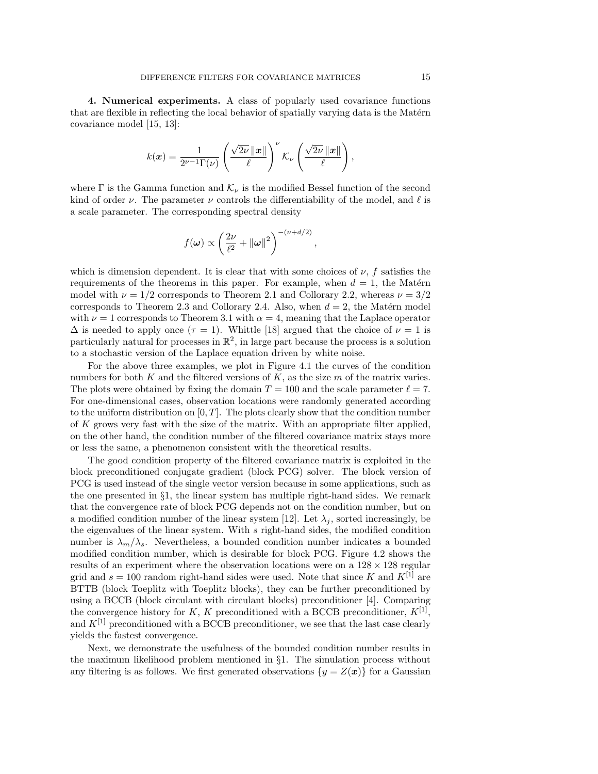**4. Numerical experiments.** A class of popularly used covariance functions that are flexible in reflecting the local behavior of spatially varying data is the Matérn covariance model [15, 13]:

$$
k(\boldsymbol{x}) = \frac{1}{2^{\nu-1}\Gamma(\nu)} \left( \frac{\sqrt{2\nu} \left\| \boldsymbol{x} \right\|}{\ell} \right)^{\nu} \mathcal{K}_{\nu} \left( \frac{\sqrt{2\nu} \left\| \boldsymbol{x} \right\|}{\ell} \right),
$$

where  $\Gamma$  is the Gamma function and  $\mathcal{K}_{\nu}$  is the modified Bessel function of the second kind of order *ν*. The parameter *ν* controls the differentiability of the model, and  $\ell$  is a scale parameter. The corresponding spectral density

$$
f(\boldsymbol{\omega}) \propto \left(\frac{2\nu}{\ell^2} + ||\boldsymbol{\omega}||^2\right)^{-(\nu+d/2)},
$$

which is dimension dependent. It is clear that with some choices of  $\nu$ ,  $f$  satisfies the requirements of the theorems in this paper. For example, when  $d = 1$ , the Matérn model with  $\nu = 1/2$  corresponds to Theorem 2.1 and Collorary 2.2, whereas  $\nu = 3/2$ corresponds to Theorem 2.3 and Collorary 2.4. Also, when  $d = 2$ , the Matérn model with  $\nu = 1$  corresponds to Theorem 3.1 with  $\alpha = 4$ , meaning that the Laplace operator  $\Delta$  is needed to apply once  $(\tau = 1)$ . Whittle [18] argued that the choice of  $\nu = 1$  is particularly natural for processes in  $\mathbb{R}^2$ , in large part because the process is a solution to a stochastic version of the Laplace equation driven by white noise.

For the above three examples, we plot in Figure 4.1 the curves of the condition numbers for both *K* and the filtered versions of *K*, as the size *m* of the matrix varies. The plots were obtained by fixing the domain  $T = 100$  and the scale parameter  $\ell = 7$ . For one-dimensional cases, observation locations were randomly generated according to the uniform distribution on [0*, T*]. The plots clearly show that the condition number of *K* grows very fast with the size of the matrix. With an appropriate filter applied, on the other hand, the condition number of the filtered covariance matrix stays more or less the same, a phenomenon consistent with the theoretical results.

The good condition property of the filtered covariance matrix is exploited in the block preconditioned conjugate gradient (block PCG) solver. The block version of PCG is used instead of the single vector version because in some applications, such as the one presented in *§*1, the linear system has multiple right-hand sides. We remark that the convergence rate of block PCG depends not on the condition number, but on a modified condition number of the linear system [12]. Let  $\lambda_j$ , sorted increasingly, be the eigenvalues of the linear system. With *s* right-hand sides, the modified condition number is  $\lambda_m/\lambda_s$ . Nevertheless, a bounded condition number indicates a bounded modified condition number, which is desirable for block PCG. Figure 4.2 shows the results of an experiment where the observation locations were on a 128 *×* 128 regular grid and  $s = 100$  random right-hand sides were used. Note that since K and  $K^{[1]}$  are BTTB (block Toeplitz with Toeplitz blocks), they can be further preconditioned by using a BCCB (block circulant with circulant blocks) preconditioner [4]. Comparing the convergence history for *K*, *K* preconditioned with a BCCB preconditioner,  $K^{[1]}$ , and  $K^{[1]}$  preconditioned with a BCCB preconditioner, we see that the last case clearly yields the fastest convergence.

Next, we demonstrate the usefulness of the bounded condition number results in the maximum likelihood problem mentioned in *§*1. The simulation process without any filtering is as follows. We first generated observations  $\{y = Z(x)\}\)$  for a Gaussian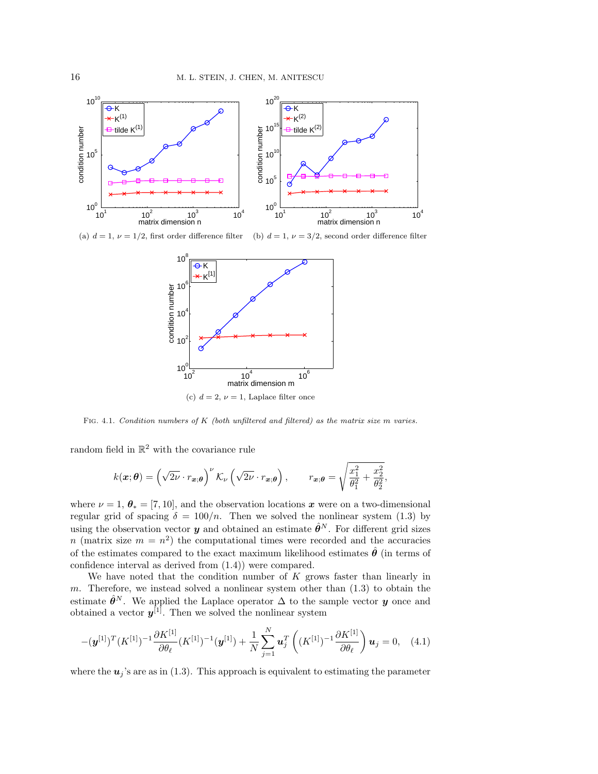

(a)  $d = 1$ ,  $\nu = 1/2$ , first order difference filter (b)  $d = 1$ ,  $\nu = 3/2$ , second order difference filter



Fig. 4.1. *Condition numbers of K (both unfiltered and filtered) as the matrix size m varies.*

random field in  $\mathbb{R}^2$  with the covariance rule

$$
k(\boldsymbol{x};\boldsymbol{\theta}) = \left(\sqrt{2\nu} \cdot r_{\boldsymbol{x};\boldsymbol{\theta}}\right)^{\nu} \mathcal{K}_{\nu} \left(\sqrt{2\nu} \cdot r_{\boldsymbol{x};\boldsymbol{\theta}}\right), \qquad r_{\boldsymbol{x};\boldsymbol{\theta}} = \sqrt{\frac{x_1^2}{\theta_1^2} + \frac{x_2^2}{\theta_2^2}},
$$

where  $\nu = 1, \theta_* = [7, 10]$ , and the observation locations x were on a two-dimensional regular grid of spacing  $\delta = 100/n$ . Then we solved the nonlinear system (1.3) by using the observation vector *y* and obtained an estimate  $\hat{\theta}^N$ . For different grid sizes *n* (matrix size  $m = n^2$ ) the computational times were recorded and the accuracies of the estimates compared to the exact maximum likelihood estimates  $\hat{\theta}$  (in terms of confidence interval as derived from (1.4)) were compared.

We have noted that the condition number of *K* grows faster than linearly in *m*. Therefore, we instead solved a nonlinear system other than (1.3) to obtain the estimate  $\hat{\theta}^N$ . We applied the Laplace operator  $\Delta$  to the sample vector *y* once and obtained a vector  $y^{[1]}$ . Then we solved the nonlinear system

$$
-(\mathbf{y}^{[1]})^T (K^{[1]})^{-1} \frac{\partial K^{[1]}}{\partial \theta_\ell} (K^{[1]})^{-1} (\mathbf{y}^{[1]}) + \frac{1}{N} \sum_{j=1}^N \mathbf{u}_j^T \left( (K^{[1]})^{-1} \frac{\partial K^{[1]}}{\partial \theta_\ell} \right) \mathbf{u}_j = 0, \quad (4.1)
$$

where the  $u_j$ 's are as in (1.3). This approach is equivalent to estimating the parameter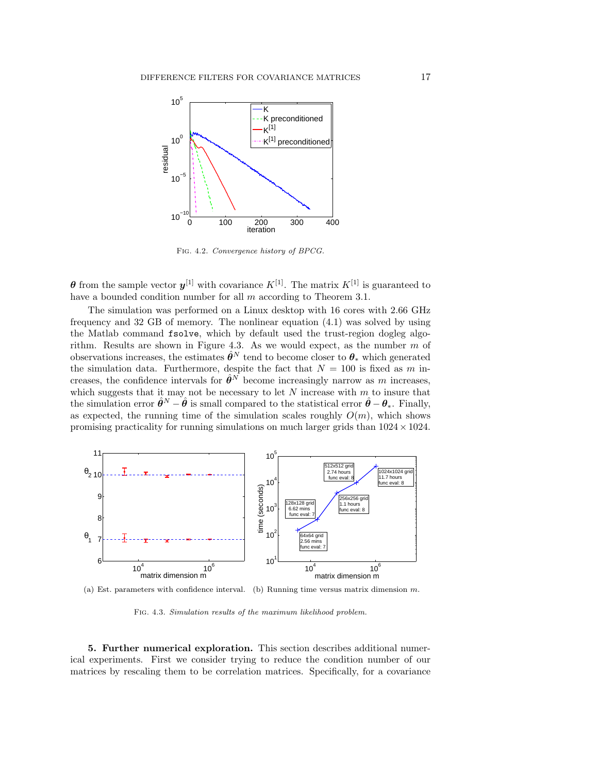

Fig. 4.2. *Convergence history of BPCG.*

*θ* from the sample vector  $y^{[1]}$  with covariance  $K^{[1]}$ . The matrix  $K^{[1]}$  is guaranteed to have a bounded condition number for all *m* according to Theorem 3.1.

The simulation was performed on a Linux desktop with 16 cores with 2.66 GHz frequency and 32 GB of memory. The nonlinear equation (4.1) was solved by using the Matlab command fsolve, which by default used the trust-region dogleg algorithm. Results are shown in Figure 4.3. As we would expect, as the number *m* of observations increases, the estimates  $\hat{\theta}^N$  tend to become closer to  $\theta_*$  which generated the simulation data. Furthermore, despite the fact that  $N = 100$  is fixed as  $m$  increases, the confidence intervals for  $\hat{\theta}^N$  become increasingly narrow as *m* increases, which suggests that it may not be necessary to let *N* increase with *m* to insure that the simulation error  $\hat{\theta}^N - \hat{\theta}$  is small compared to the statistical error  $\hat{\theta} - \theta_*$ . Finally, as expected, the running time of the simulation scales roughly  $O(m)$ , which shows promising practicality for running simulations on much larger grids than 1024*×*1024.



(a) Est. parameters with confidence interval. (b) Running time versus matrix dimension *m*.

Fig. 4.3. *Simulation results of the maximum likelihood problem.*

**5. Further numerical exploration.** This section describes additional numerical experiments. First we consider trying to reduce the condition number of our matrices by rescaling them to be correlation matrices. Specifically, for a covariance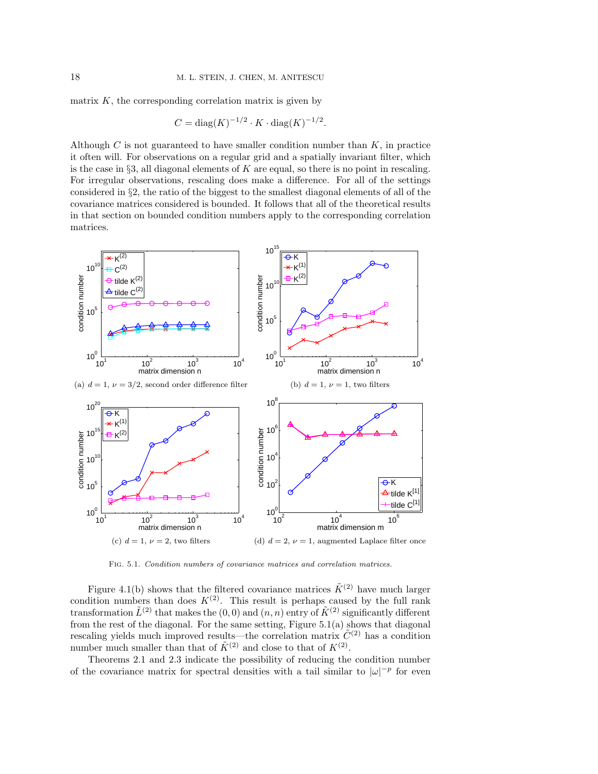matrix  $K$ , the corresponding correlation matrix is given by

$$
C = diag(K)^{-1/2} \cdot K \cdot diag(K)^{-1/2}
$$
.

Although *C* is not guaranteed to have smaller condition number than *K*, in practice it often will. For observations on a regular grid and a spatially invariant filter, which is the case in *§*3, all diagonal elements of *K* are equal, so there is no point in rescaling. For irregular observations, rescaling does make a difference. For all of the settings considered in *§*2, the ratio of the biggest to the smallest diagonal elements of all of the covariance matrices considered is bounded. It follows that all of the theoretical results in that section on bounded condition numbers apply to the corresponding correlation matrices.



Fig. 5.1. *Condition numbers of covariance matrices and correlation matrices.*

Figure 4.1(b) shows that the filtered covariance matrices  $\tilde{K}^{(2)}$  have much larger condition numbers than does  $K^{(2)}$ . This result is perhaps caused by the full rank transformation  $\tilde{L}^{(2)}$  that makes the  $(0,0)$  and  $(n, n)$  entry of  $\tilde{K}^{(2)}$  significantly different from the rest of the diagonal. For the same setting, Figure 5.1(a) shows that diagonal rescaling yields much improved results—the correlation matrix  $\tilde{C}^{(2)}$  has a condition number much smaller than that of  $\tilde{K}^{(2)}$  and close to that of  $K^{(2)}$ .

Theorems 2.1 and 2.3 indicate the possibility of reducing the condition number of the covariance matrix for spectral densities with a tail similar to  $|\omega|^{-p}$  for even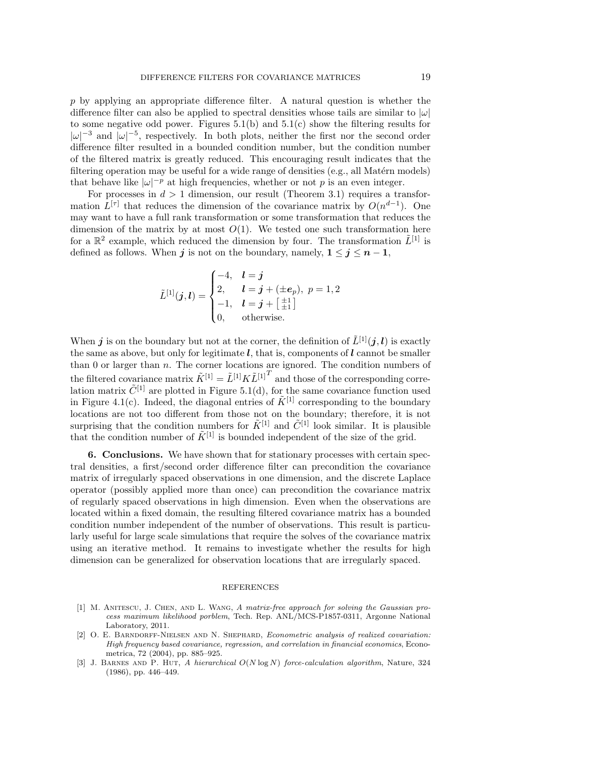*p* by applying an appropriate difference filter. A natural question is whether the difference filter can also be applied to spectral densities whose tails are similar to *|ω|* to some negative odd power. Figures 5.1(b) and 5.1(c) show the filtering results for  $|\omega|^{-3}$  and  $|\omega|^{-5}$ , respectively. In both plots, neither the first nor the second order difference filter resulted in a bounded condition number, but the condition number of the filtered matrix is greatly reduced. This encouraging result indicates that the filtering operation may be useful for a wide range of densities  $(e.g.,\, all\, Matérn\, models)$ that behave like  $|\omega|^{-p}$  at high frequencies, whether or not p is an even integer.

For processes in  $d > 1$  dimension, our result (Theorem 3.1) requires a transformation  $L^{[\tau]}$  that reduces the dimension of the covariance matrix by  $O(n^{d-1})$ . One may want to have a full rank transformation or some transformation that reduces the dimension of the matrix by at most  $O(1)$ . We tested one such transformation here for a  $\mathbb{R}^2$  example, which reduced the dimension by four. The transformation  $\tilde{L}^{[1]}$  is defined as follows. When *j* is not on the boundary, namely,  $1 \leq j \leq n-1$ ,

$$
\tilde{L}^{[1]}(j,l) = \begin{cases}\n-4, & l = j \\
2, & l = j + (\pm e_p), \ p = 1, 2 \\
-1, & l = j + \left[\frac{\pm 1}{\pm 1}\right] \\
0, & \text{otherwise.} \n\end{cases}
$$

When *j* is on the boundary but not at the corner, the definition of  $\tilde{L}^{[1]}(j,l)$  is exactly the same as above, but only for legitimate *l*, that is, components of *l* cannot be smaller than 0 or larger than *n*. The corner locations are ignored. The condition numbers of the filtered covariance matrix  $\tilde{K}^{[1]} = \tilde{L}^{[1]} K \tilde{L}^{[1]}^T$  and those of the corresponding correlation matrix  $\tilde{C}^{[1]}$  are plotted in Figure 5.1(d), for the same covariance function used in Figure 4.1(c). Indeed, the diagonal entries of  $\tilde{K}^{[1]}$  corresponding to the boundary locations are not too different from those not on the boundary; therefore, it is not surprising that the condition numbers for  $\tilde{K}^{[1]}$  and  $\tilde{C}^{[1]}$  look similar. It is plausible that the condition number of  $\tilde{K}^{[1]}$  is bounded independent of the size of the grid.

**6. Conclusions.** We have shown that for stationary processes with certain spectral densities, a first/second order difference filter can precondition the covariance matrix of irregularly spaced observations in one dimension, and the discrete Laplace operator (possibly applied more than once) can precondition the covariance matrix of regularly spaced observations in high dimension. Even when the observations are located within a fixed domain, the resulting filtered covariance matrix has a bounded condition number independent of the number of observations. This result is particularly useful for large scale simulations that require the solves of the covariance matrix using an iterative method. It remains to investigate whether the results for high dimension can be generalized for observation locations that are irregularly spaced.

## REFERENCES

- [1] M. Anitescu, J. Chen, and L. Wang, *A matrix-free approach for solving the Gaussian process maximum likelihood porblem*, Tech. Rep. ANL/MCS-P1857-0311, Argonne National Laboratory, 2011.
- [2] O. E. Barndorff-Nielsen and N. Shephard, *Econometric analysis of realized covariation: High frequency based covariance, regression, and correlation in financial economics*, Econometrica, 72 (2004), pp. 885–925.
- [3] J. Barnes and P. Hut, *A hierarchical O*(*N* log *N*) *force-calculation algorithm*, Nature, 324 (1986), pp. 446–449.